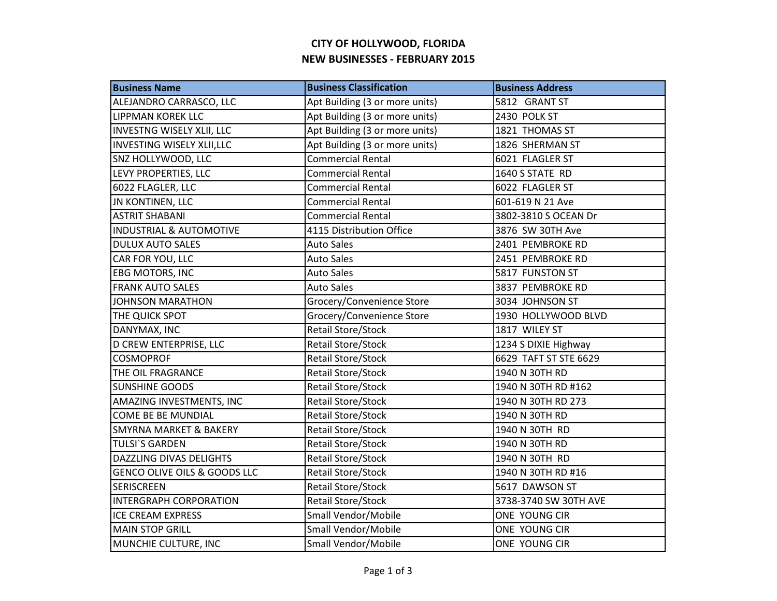## **CITY OF HOLLYWOOD, FLORIDA NEW BUSINESSES - FEBRUARY 2015**

| <b>Business Name</b>               | <b>Business Classification</b> | <b>Business Address</b> |
|------------------------------------|--------------------------------|-------------------------|
| ALEJANDRO CARRASCO, LLC            | Apt Building (3 or more units) | 5812 GRANT ST           |
| <b>LIPPMAN KOREK LLC</b>           | Apt Building (3 or more units) | 2430 POLK ST            |
| <b>INVESTNG WISELY XLII, LLC</b>   | Apt Building (3 or more units) | 1821 THOMAS ST          |
| <b>INVESTING WISELY XLII,LLC</b>   | Apt Building (3 or more units) | 1826 SHERMAN ST         |
| SNZ HOLLYWOOD, LLC                 | <b>Commercial Rental</b>       | 6021 FLAGLER ST         |
| LEVY PROPERTIES, LLC               | <b>Commercial Rental</b>       | 1640 S STATE RD         |
| 6022 FLAGLER, LLC                  | <b>Commercial Rental</b>       | 6022 FLAGLER ST         |
| JN KONTINEN, LLC                   | <b>Commercial Rental</b>       | 601-619 N 21 Ave        |
| <b>ASTRIT SHABANI</b>              | <b>Commercial Rental</b>       | 3802-3810 S OCEAN Dr    |
| <b>INDUSTRIAL &amp; AUTOMOTIVE</b> | 4115 Distribution Office       | 3876 SW 30TH Ave        |
| <b>DULUX AUTO SALES</b>            | <b>Auto Sales</b>              | 2401 PEMBROKE RD        |
| CAR FOR YOU, LLC                   | <b>Auto Sales</b>              | 2451 PEMBROKE RD        |
| EBG MOTORS, INC                    | <b>Auto Sales</b>              | 5817 FUNSTON ST         |
| <b>FRANK AUTO SALES</b>            | <b>Auto Sales</b>              | 3837 PEMBROKE RD        |
| <b>JOHNSON MARATHON</b>            | Grocery/Convenience Store      | 3034 JOHNSON ST         |
| THE QUICK SPOT                     | Grocery/Convenience Store      | 1930 HOLLYWOOD BLVD     |
| DANYMAX, INC                       | Retail Store/Stock             | 1817 WILEY ST           |
| D CREW ENTERPRISE, LLC             | Retail Store/Stock             | 1234 S DIXIE Highway    |
| <b>COSMOPROF</b>                   | <b>Retail Store/Stock</b>      | 6629 TAFT ST STE 6629   |
| THE OIL FRAGRANCE                  | Retail Store/Stock             | 1940 N 30TH RD          |
| <b>SUNSHINE GOODS</b>              | Retail Store/Stock             | 1940 N 30TH RD #162     |
| AMAZING INVESTMENTS, INC           | Retail Store/Stock             | 1940 N 30TH RD 273      |
| COME BE BE MUNDIAL                 | <b>Retail Store/Stock</b>      | 1940 N 30TH RD          |
| <b>SMYRNA MARKET &amp; BAKERY</b>  | Retail Store/Stock             | 1940 N 30TH RD          |
| <b>TULSI'S GARDEN</b>              | Retail Store/Stock             | 1940 N 30TH RD          |
| DAZZLING DIVAS DELIGHTS            | <b>Retail Store/Stock</b>      | 1940 N 30TH RD          |
| GENCO OLIVE OILS & GOODS LLC       | Retail Store/Stock             | 1940 N 30TH RD #16      |
| <b>SERISCREEN</b>                  | Retail Store/Stock             | 5617 DAWSON ST          |
| <b>INTERGRAPH CORPORATION</b>      | Retail Store/Stock             | 3738-3740 SW 30TH AVE   |
| <b>ICE CREAM EXPRESS</b>           | Small Vendor/Mobile            | ONE YOUNG CIR           |
| <b>MAIN STOP GRILL</b>             | Small Vendor/Mobile            | ONE YOUNG CIR           |
| MUNCHIE CULTURE, INC               | Small Vendor/Mobile            | ONE YOUNG CIR           |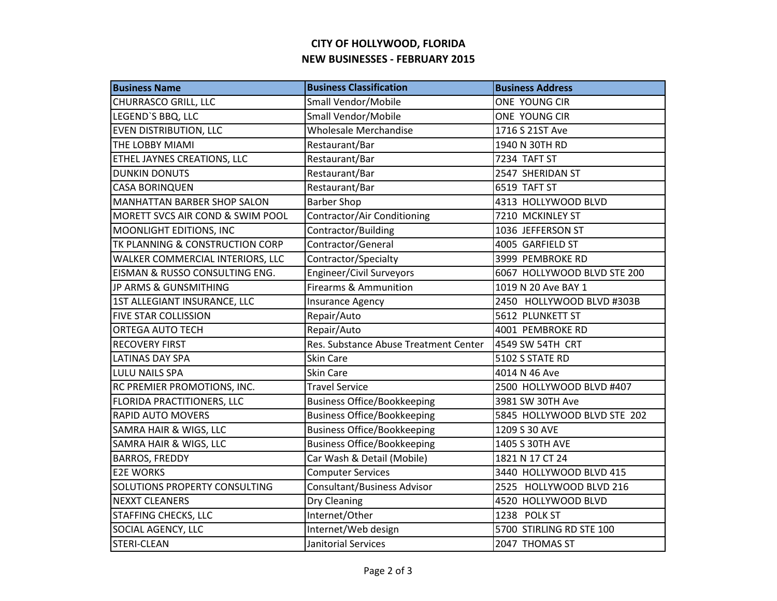## **CITY OF HOLLYWOOD, FLORIDA NEW BUSINESSES - FEBRUARY 2015**

| <b>Business Name</b>                 | <b>Business Classification</b>        | <b>Business Address</b>     |
|--------------------------------------|---------------------------------------|-----------------------------|
| <b>CHURRASCO GRILL, LLC</b>          | Small Vendor/Mobile                   | ONE YOUNG CIR               |
| LEGEND'S BBQ, LLC                    | Small Vendor/Mobile                   | ONE YOUNG CIR               |
| <b>EVEN DISTRIBUTION, LLC</b>        | <b>Wholesale Merchandise</b>          | 1716 S 21ST Ave             |
| THE LOBBY MIAMI                      | Restaurant/Bar                        | 1940 N 30TH RD              |
| ETHEL JAYNES CREATIONS, LLC          | Restaurant/Bar                        | 7234 TAFT ST                |
| <b>DUNKIN DONUTS</b>                 | Restaurant/Bar                        | 2547 SHERIDAN ST            |
| <b>CASA BORINQUEN</b>                | Restaurant/Bar                        | 6519 TAFT ST                |
| <b>MANHATTAN BARBER SHOP SALON</b>   | <b>Barber Shop</b>                    | 4313 HOLLYWOOD BLVD         |
| MORETT SVCS AIR COND & SWIM POOL     | Contractor/Air Conditioning           | 7210 MCKINLEY ST            |
| MOONLIGHT EDITIONS, INC              | Contractor/Building                   | 1036 JEFFERSON ST           |
| TK PLANNING & CONSTRUCTION CORP      | Contractor/General                    | 4005 GARFIELD ST            |
| WALKER COMMERCIAL INTERIORS, LLC     | Contractor/Specialty                  | 3999 PEMBROKE RD            |
| EISMAN & RUSSO CONSULTING ENG.       | Engineer/Civil Surveyors              | 6067 HOLLYWOOD BLVD STE 200 |
| JP ARMS & GUNSMITHING                | <b>Firearms &amp; Ammunition</b>      | 1019 N 20 Ave BAY 1         |
| 1ST ALLEGIANT INSURANCE, LLC         | <b>Insurance Agency</b>               | 2450 HOLLYWOOD BLVD #303B   |
| <b>FIVE STAR COLLISSION</b>          | Repair/Auto                           | 5612 PLUNKETT ST            |
| <b>ORTEGA AUTO TECH</b>              | Repair/Auto                           | 4001 PEMBROKE RD            |
| <b>RECOVERY FIRST</b>                | Res. Substance Abuse Treatment Center | 4549 SW 54TH CRT            |
| <b>LATINAS DAY SPA</b>               | Skin Care                             | 5102 S STATE RD             |
| <b>LULU NAILS SPA</b>                | Skin Care                             | 4014 N 46 Ave               |
| RC PREMIER PROMOTIONS, INC.          | <b>Travel Service</b>                 | 2500 HOLLYWOOD BLVD #407    |
| <b>FLORIDA PRACTITIONERS, LLC</b>    | <b>Business Office/Bookkeeping</b>    | 3981 SW 30TH Ave            |
| <b>RAPID AUTO MOVERS</b>             | <b>Business Office/Bookkeeping</b>    | 5845 HOLLYWOOD BLVD STE 202 |
| SAMRA HAIR & WIGS, LLC               | <b>Business Office/Bookkeeping</b>    | 1209 S 30 AVE               |
| SAMRA HAIR & WIGS, LLC               | <b>Business Office/Bookkeeping</b>    | 1405 S 30TH AVE             |
| <b>BARROS, FREDDY</b>                | Car Wash & Detail (Mobile)            | 1821 N 17 CT 24             |
| <b>E2E WORKS</b>                     | <b>Computer Services</b>              | 3440 HOLLYWOOD BLVD 415     |
| <b>SOLUTIONS PROPERTY CONSULTING</b> | <b>Consultant/Business Advisor</b>    | 2525 HOLLYWOOD BLVD 216     |
| <b>NEXXT CLEANERS</b>                | Dry Cleaning                          | 4520 HOLLYWOOD BLVD         |
| <b>STAFFING CHECKS, LLC</b>          | Internet/Other                        | 1238 POLK ST                |
| SOCIAL AGENCY, LLC                   | Internet/Web design                   | 5700 STIRLING RD STE 100    |
| <b>STERI-CLEAN</b>                   | Janitorial Services                   | 2047 THOMAS ST              |